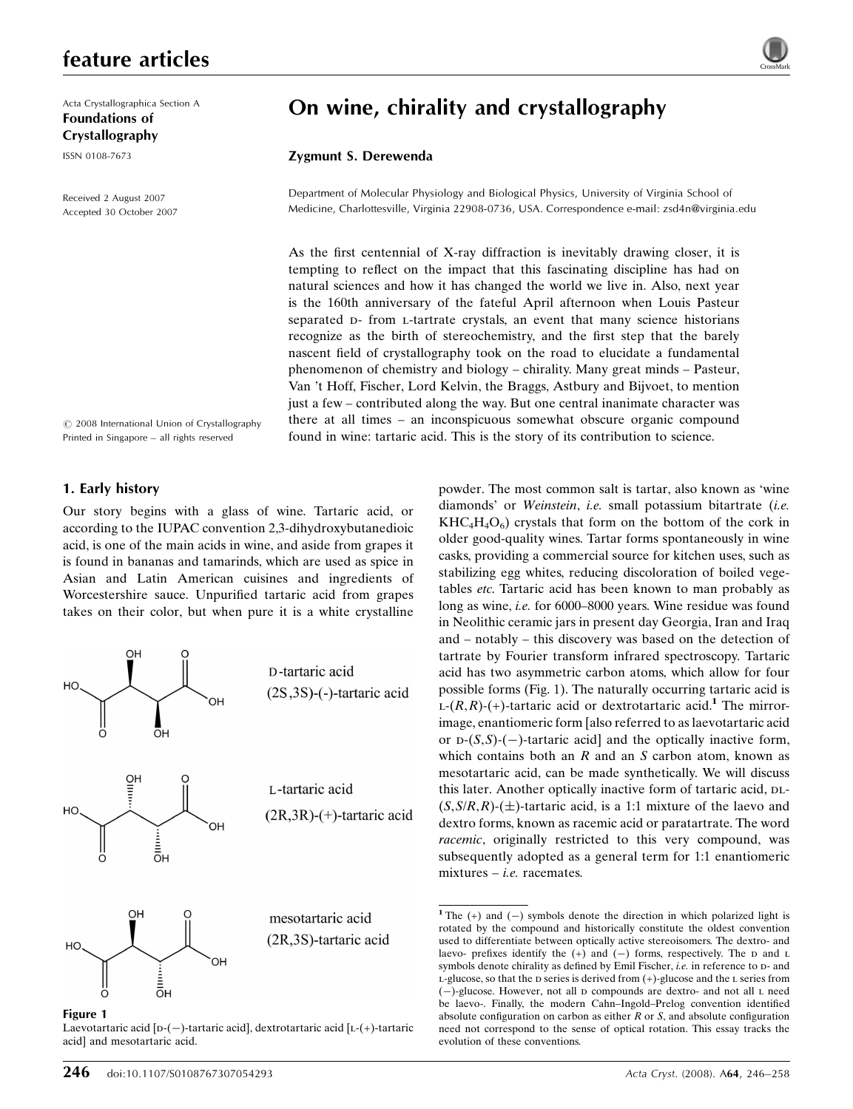# feature articles

Acta Crystallographica Section A Foundations of Crystallography ISSN 0108-7673

Received 2 August 2007 Accepted 30 October 2007

# On wine, chirality and crystallography

## Zygmunt S. Derewenda

Department of Molecular Physiology and Biological Physics, University of Virginia School of Medicine, Charlottesville, Virginia 22908-0736, USA. Correspondence e-mail: zsd4n@virginia.edu

As the first centennial of X-ray diffraction is inevitably drawing closer, it is tempting to reflect on the impact that this fascinating discipline has had on natural sciences and how it has changed the world we live in. Also, next year is the 160th anniversary of the fateful April afternoon when Louis Pasteur separated D- from L-tartrate crystals, an event that many science historians recognize as the birth of stereochemistry, and the first step that the barely nascent field of crystallography took on the road to elucidate a fundamental phenomenon of chemistry and biology – chirality. Many great minds – Pasteur, Van 't Hoff, Fischer, Lord Kelvin, the Braggs, Astbury and Bijvoet, to mention just a few – contributed along the way. But one central inanimate character was there at all times – an inconspicuous somewhat obscure organic compound found in wine: tartaric acid. This is the story of its contribution to science.

 $\odot$  2008 International Union of Crystallography Printed in Singapore – all rights reserved

# 1. Early history

Our story begins with a glass of wine. Tartaric acid, or according to the IUPAC convention 2,3-dihydroxybutanedioic acid, is one of the main acids in wine, and aside from grapes it is found in bananas and tamarinds, which are used as spice in Asian and Latin American cuisines and ingredients of Worcestershire sauce. Unpurified tartaric acid from grapes takes on their color, but when pure it is a white crystalline



Figure 1

Laevotartaric acid  $[p-(-)$ -tartaric acid], dextrotartaric acid  $[L+(+)$ -tartaric acid] and mesotartaric acid.

powder. The most common salt is tartar, also known as 'wine diamonds' or Weinstein, i.e. small potassium bitartrate (i.e.  $KHC_4H_4O_6$ ) crystals that form on the bottom of the cork in older good-quality wines. Tartar forms spontaneously in wine casks, providing a commercial source for kitchen uses, such as stabilizing egg whites, reducing discoloration of boiled vegetables etc. Tartaric acid has been known to man probably as long as wine, i.e. for 6000–8000 years. Wine residue was found in Neolithic ceramic jars in present day Georgia, Iran and Iraq and – notably – this discovery was based on the detection of tartrate by Fourier transform infrared spectroscopy. Tartaric acid has two asymmetric carbon atoms, which allow for four possible forms (Fig. 1). The naturally occurring tartaric acid is  $L-(R,R)-(+)$ -tartaric acid or dextrotartaric acid.<sup>1</sup> The mirrorimage, enantiomeric form [also referred to as laevotartaric acid or  $D-(S,S)-(-)$ -tartaric acid] and the optically inactive form, which contains both an  $R$  and an  $S$  carbon atom, known as mesotartaric acid, can be made synthetically. We will discuss this later. Another optically inactive form of tartaric acid, DL- $(S, S/R, R)$ -( $\pm$ )-tartaric acid, is a 1:1 mixture of the laevo and dextro forms, known as racemic acid or paratartrate. The word racemic, originally restricted to this very compound, was subsequently adopted as a general term for 1:1 enantiomeric  $mixtures - *i.e.* racemates.$ 

<sup>&</sup>lt;sup>1</sup> The  $(+)$  and  $(-)$  symbols denote the direction in which polarized light is rotated by the compound and historically constitute the oldest convention used to differentiate between optically active stereoisomers. The dextro- and laevo- prefixes identify the  $(+)$  and  $(-)$  forms, respectively. The  $D$  and  $L$ symbols denote chirality as defined by Emil Fischer, i.e. in reference to D- and  $L$ -glucose, so that the  $D$  series is derived from  $(+)$ -glucose and the  $L$  series from  $(-)$ -glucose. However, not all  $D$  compounds are dextro- and not all  $D$  need be laevo-. Finally, the modern Cahn–Ingold–Prelog convention identified absolute configuration on carbon as either  $R$  or  $S$ , and absolute configuration need not correspond to the sense of optical rotation. This essay tracks the evolution of these conventions.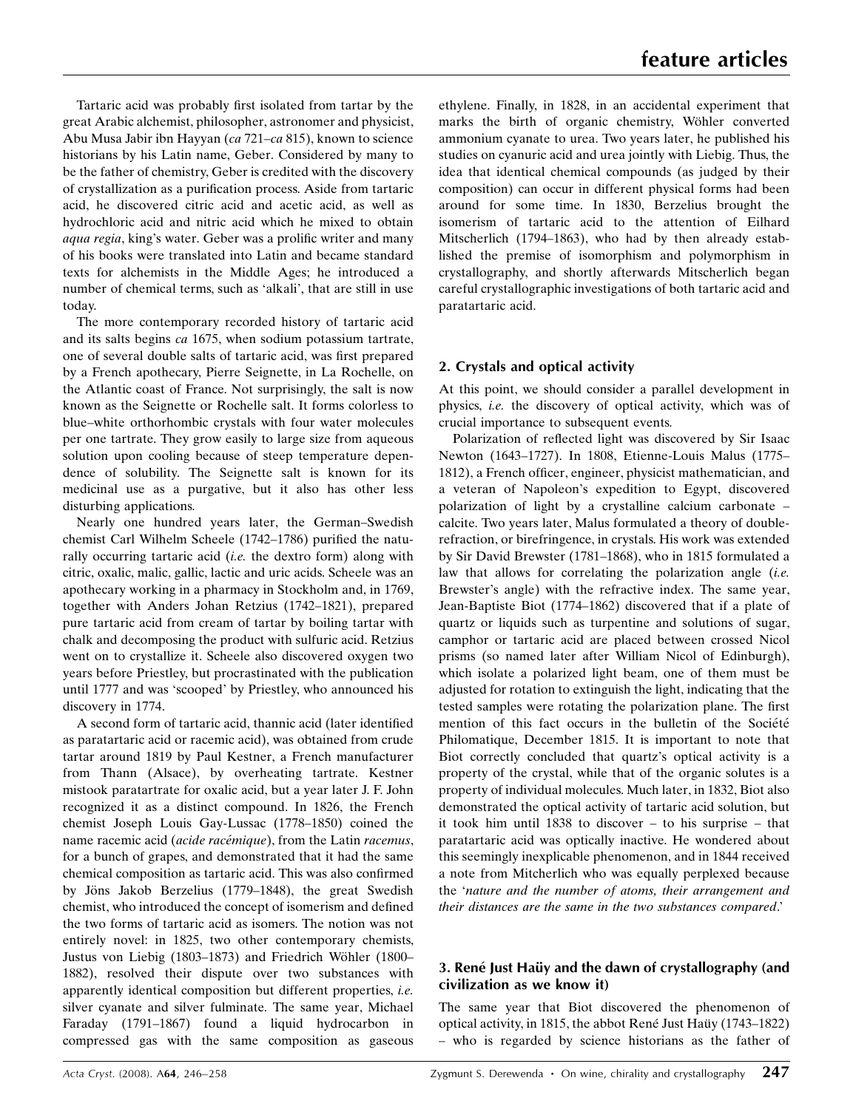Tartaric acid was probably first isolated from tartar by the great Arabic alchemist, philosopher, astronomer and physicist, Abu Musa Jabir ibn Hayyan (ca 721–ca 815), known to science historians by his Latin name, Geber. Considered by many to be the father of chemistry, Geber is credited with the discovery of crystallization as a purification process. Aside from tartaric acid, he discovered citric acid and acetic acid, as well as hydrochloric acid and nitric acid which he mixed to obtain aqua regia, king's water. Geber was a prolific writer and many of his books were translated into Latin and became standard texts for alchemists in the Middle Ages; he introduced a number of chemical terms, such as 'alkali', that are still in use today.

The more contemporary recorded history of tartaric acid and its salts begins ca 1675, when sodium potassium tartrate, one of several double salts of tartaric acid, was first prepared by a French apothecary, Pierre Seignette, in La Rochelle, on the Atlantic coast of France. Not surprisingly, the salt is now known as the Seignette or Rochelle salt. It forms colorless to blue–white orthorhombic crystals with four water molecules per one tartrate. They grow easily to large size from aqueous solution upon cooling because of steep temperature dependence of solubility. The Seignette salt is known for its medicinal use as a purgative, but it also has other less disturbing applications.

Nearly one hundred years later, the German–Swedish chemist Carl Wilhelm Scheele (1742–1786) purified the naturally occurring tartaric acid (*i.e.* the dextro form) along with citric, oxalic, malic, gallic, lactic and uric acids. Scheele was an apothecary working in a pharmacy in Stockholm and, in 1769, together with Anders Johan Retzius (1742–1821), prepared pure tartaric acid from cream of tartar by boiling tartar with chalk and decomposing the product with sulfuric acid. Retzius went on to crystallize it. Scheele also discovered oxygen two years before Priestley, but procrastinated with the publication until 1777 and was 'scooped' by Priestley, who announced his discovery in 1774.

A second form of tartaric acid, thannic acid (later identified as paratartaric acid or racemic acid), was obtained from crude tartar around 1819 by Paul Kestner, a French manufacturer from Thann (Alsace), by overheating tartrate. Kestner mistook paratartrate for oxalic acid, but a year later J. F. John recognized it as a distinct compound. In 1826, the French chemist Joseph Louis Gay-Lussac (1778–1850) coined the name racemic acid (acide racémique), from the Latin racemus, for a bunch of grapes, and demonstrated that it had the same chemical composition as tartaric acid. This was also confirmed by Jöns Jakob Berzelius (1779–1848), the great Swedish chemist, who introduced the concept of isomerism and defined the two forms of tartaric acid as isomers. The notion was not entirely novel: in 1825, two other contemporary chemists, Justus von Liebig (1803–1873) and Friedrich Wöhler (1800– 1882), resolved their dispute over two substances with apparently identical composition but different properties, i.e. silver cyanate and silver fulminate. The same year, Michael Faraday (1791–1867) found a liquid hydrocarbon in compressed gas with the same composition as gaseous

ethylene. Finally, in 1828, in an accidental experiment that marks the birth of organic chemistry, Wöhler converted ammonium cyanate to urea. Two years later, he published his studies on cyanuric acid and urea jointly with Liebig. Thus, the idea that identical chemical compounds (as judged by their composition) can occur in different physical forms had been around for some time. In 1830, Berzelius brought the isomerism of tartaric acid to the attention of Eilhard Mitscherlich (1794–1863), who had by then already established the premise of isomorphism and polymorphism in crystallography, and shortly afterwards Mitscherlich began careful crystallographic investigations of both tartaric acid and paratartaric acid.

# 2. Crystals and optical activity

At this point, we should consider a parallel development in physics, i.e. the discovery of optical activity, which was of crucial importance to subsequent events.

Polarization of reflected light was discovered by Sir Isaac Newton (1643–1727). In 1808, Etienne-Louis Malus (1775– 1812), a French officer, engineer, physicist mathematician, and a veteran of Napoleon's expedition to Egypt, discovered polarization of light by a crystalline calcium carbonate – calcite. Two years later, Malus formulated a theory of doublerefraction, or birefringence, in crystals. His work was extended by Sir David Brewster (1781–1868), who in 1815 formulated a law that allows for correlating the polarization angle (i.e. Brewster's angle) with the refractive index. The same year, Jean-Baptiste Biot (1774–1862) discovered that if a plate of quartz or liquids such as turpentine and solutions of sugar, camphor or tartaric acid are placed between crossed Nicol prisms (so named later after William Nicol of Edinburgh), which isolate a polarized light beam, one of them must be adjusted for rotation to extinguish the light, indicating that the tested samples were rotating the polarization plane. The first mention of this fact occurs in the bulletin of the Société Philomatique, December 1815. It is important to note that Biot correctly concluded that quartz's optical activity is a property of the crystal, while that of the organic solutes is a property of individual molecules. Much later, in 1832, Biot also demonstrated the optical activity of tartaric acid solution, but it took him until 1838 to discover – to his surprise – that paratartaric acid was optically inactive. He wondered about this seemingly inexplicable phenomenon, and in 1844 received a note from Mitcherlich who was equally perplexed because the 'nature and the number of atoms, their arrangement and their distances are the same in the two substances compared.'

# 3. René Just Haüy and the dawn of crystallography (and civilization as we know it)

The same year that Biot discovered the phenomenon of optical activity, in 1815, the abbot René Just Haüy (1743–1822) – who is regarded by science historians as the father of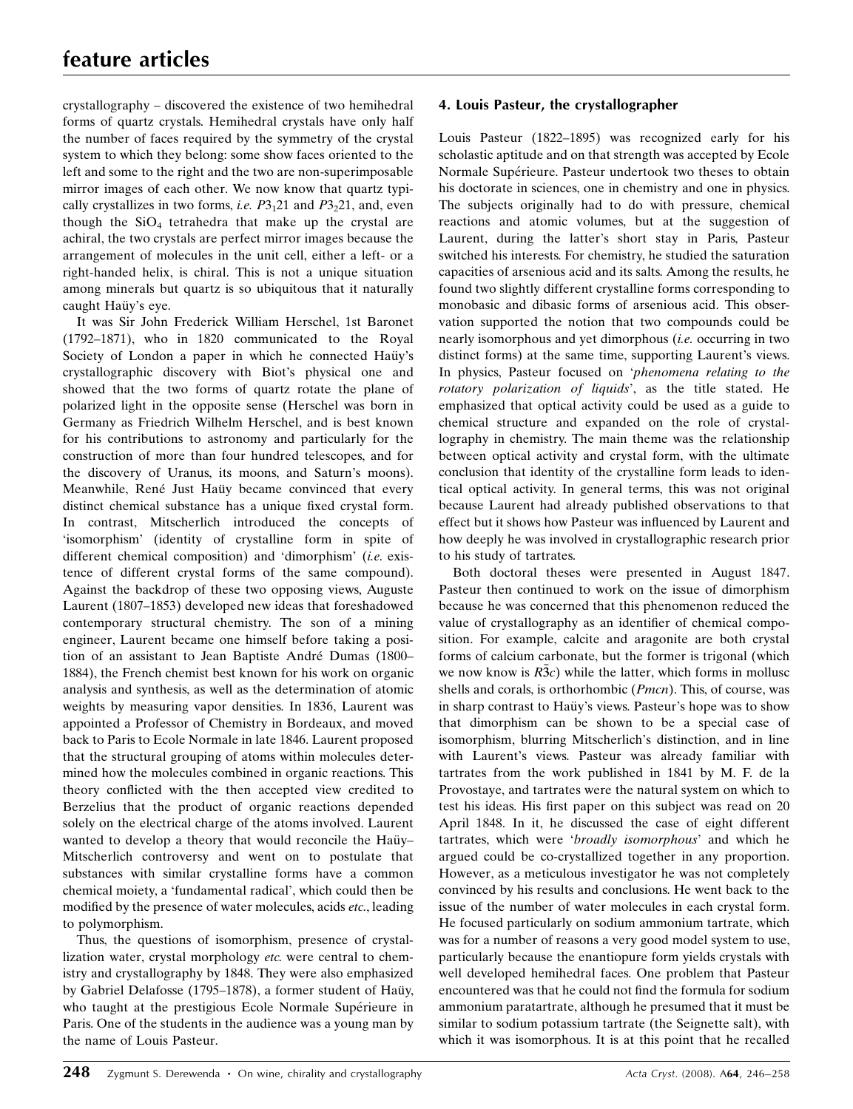crystallography – discovered the existence of two hemihedral forms of quartz crystals. Hemihedral crystals have only half the number of faces required by the symmetry of the crystal system to which they belong: some show faces oriented to the left and some to the right and the two are non-superimposable mirror images of each other. We now know that quartz typically crystallizes in two forms, *i.e.*  $P3<sub>1</sub>21$  and  $P3<sub>2</sub>21$ , and, even though the  $SiO<sub>4</sub>$  tetrahedra that make up the crystal are achiral, the two crystals are perfect mirror images because the arrangement of molecules in the unit cell, either a left- or a right-handed helix, is chiral. This is not a unique situation among minerals but quartz is so ubiquitous that it naturally caught Haüy's eye.

It was Sir John Frederick William Herschel, 1st Baronet (1792–1871), who in 1820 communicated to the Royal Society of London a paper in which he connected Haüy's crystallographic discovery with Biot's physical one and showed that the two forms of quartz rotate the plane of polarized light in the opposite sense (Herschel was born in Germany as Friedrich Wilhelm Herschel, and is best known for his contributions to astronomy and particularly for the construction of more than four hundred telescopes, and for the discovery of Uranus, its moons, and Saturn's moons). Meanwhile, René Just Haüy became convinced that every distinct chemical substance has a unique fixed crystal form. In contrast, Mitscherlich introduced the concepts of 'isomorphism' (identity of crystalline form in spite of different chemical composition) and 'dimorphism' (i.e. existence of different crystal forms of the same compound). Against the backdrop of these two opposing views, Auguste Laurent (1807–1853) developed new ideas that foreshadowed contemporary structural chemistry. The son of a mining engineer, Laurent became one himself before taking a position of an assistant to Jean Baptiste André Dumas (1800– 1884), the French chemist best known for his work on organic analysis and synthesis, as well as the determination of atomic weights by measuring vapor densities. In 1836, Laurent was appointed a Professor of Chemistry in Bordeaux, and moved back to Paris to Ecole Normale in late 1846. Laurent proposed that the structural grouping of atoms within molecules determined how the molecules combined in organic reactions. This theory conflicted with the then accepted view credited to Berzelius that the product of organic reactions depended solely on the electrical charge of the atoms involved. Laurent wanted to develop a theory that would reconcile the Haüy-Mitscherlich controversy and went on to postulate that substances with similar crystalline forms have a common chemical moiety, a 'fundamental radical', which could then be modified by the presence of water molecules, acids etc., leading to polymorphism.

Thus, the questions of isomorphism, presence of crystallization water, crystal morphology etc. were central to chemistry and crystallography by 1848. They were also emphasized by Gabriel Delafosse (1795–1878), a former student of Haüy, who taught at the prestigious Ecole Normale Supérieure in Paris. One of the students in the audience was a young man by the name of Louis Pasteur.

# 4. Louis Pasteur, the crystallographer

Louis Pasteur (1822–1895) was recognized early for his scholastic aptitude and on that strength was accepted by Ecole Normale Supérieure. Pasteur undertook two theses to obtain his doctorate in sciences, one in chemistry and one in physics. The subjects originally had to do with pressure, chemical reactions and atomic volumes, but at the suggestion of Laurent, during the latter's short stay in Paris, Pasteur switched his interests. For chemistry, he studied the saturation capacities of arsenious acid and its salts. Among the results, he found two slightly different crystalline forms corresponding to monobasic and dibasic forms of arsenious acid. This observation supported the notion that two compounds could be nearly isomorphous and yet dimorphous (i.e. occurring in two distinct forms) at the same time, supporting Laurent's views. In physics, Pasteur focused on 'phenomena relating to the rotatory polarization of liquids', as the title stated. He emphasized that optical activity could be used as a guide to chemical structure and expanded on the role of crystallography in chemistry. The main theme was the relationship between optical activity and crystal form, with the ultimate conclusion that identity of the crystalline form leads to identical optical activity. In general terms, this was not original because Laurent had already published observations to that effect but it shows how Pasteur was influenced by Laurent and how deeply he was involved in crystallographic research prior to his study of tartrates.

Both doctoral theses were presented in August 1847. Pasteur then continued to work on the issue of dimorphism because he was concerned that this phenomenon reduced the value of crystallography as an identifier of chemical composition. For example, calcite and aragonite are both crystal forms of calcium carbonate, but the former is trigonal (which we now know is  $R3c$ ) while the latter, which forms in mollusc shells and corals, is orthorhombic (Pmcn). This, of course, was in sharp contrast to Haüy's views. Pasteur's hope was to show that dimorphism can be shown to be a special case of isomorphism, blurring Mitscherlich's distinction, and in line with Laurent's views. Pasteur was already familiar with tartrates from the work published in 1841 by M. F. de la Provostaye, and tartrates were the natural system on which to test his ideas. His first paper on this subject was read on 20 April 1848. In it, he discussed the case of eight different tartrates, which were 'broadly isomorphous' and which he argued could be co-crystallized together in any proportion. However, as a meticulous investigator he was not completely convinced by his results and conclusions. He went back to the issue of the number of water molecules in each crystal form. He focused particularly on sodium ammonium tartrate, which was for a number of reasons a very good model system to use, particularly because the enantiopure form yields crystals with well developed hemihedral faces. One problem that Pasteur encountered was that he could not find the formula for sodium ammonium paratartrate, although he presumed that it must be similar to sodium potassium tartrate (the Seignette salt), with which it was isomorphous. It is at this point that he recalled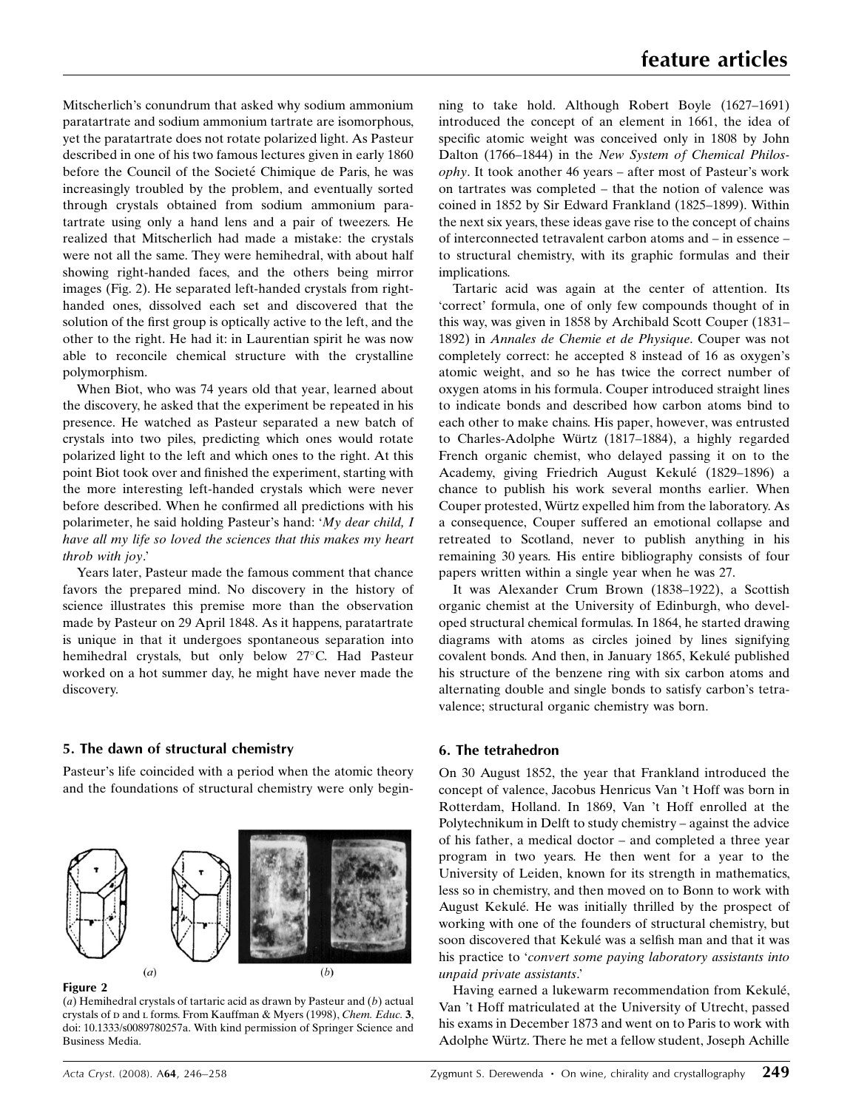Mitscherlich's conundrum that asked why sodium ammonium paratartrate and sodium ammonium tartrate are isomorphous, yet the paratartrate does not rotate polarized light. As Pasteur described in one of his two famous lectures given in early 1860 before the Council of the Societé Chimique de Paris, he was increasingly troubled by the problem, and eventually sorted through crystals obtained from sodium ammonium paratartrate using only a hand lens and a pair of tweezers. He realized that Mitscherlich had made a mistake: the crystals were not all the same. They were hemihedral, with about half showing right-handed faces, and the others being mirror images (Fig. 2). He separated left-handed crystals from righthanded ones, dissolved each set and discovered that the solution of the first group is optically active to the left, and the other to the right. He had it: in Laurentian spirit he was now able to reconcile chemical structure with the crystalline polymorphism.

When Biot, who was 74 years old that year, learned about the discovery, he asked that the experiment be repeated in his presence. He watched as Pasteur separated a new batch of crystals into two piles, predicting which ones would rotate polarized light to the left and which ones to the right. At this point Biot took over and finished the experiment, starting with the more interesting left-handed crystals which were never before described. When he confirmed all predictions with his polarimeter, he said holding Pasteur's hand: 'My dear child, I have all my life so loved the sciences that this makes my heart throb with joy.'

Years later, Pasteur made the famous comment that chance favors the prepared mind. No discovery in the history of science illustrates this premise more than the observation made by Pasteur on 29 April 1848. As it happens, paratartrate is unique in that it undergoes spontaneous separation into hemihedral crystals, but only below 27°C. Had Pasteur worked on a hot summer day, he might have never made the discovery.

# 5. The dawn of structural chemistry

Pasteur's life coincided with a period when the atomic theory and the foundations of structural chemistry were only begin-



Figure 2

(a) Hemihedral crystals of tartaric acid as drawn by Pasteur and  $(b)$  actual crystals of D and L forms. From Kauffman & Myers (1998), Chem. Educ. 3, doi: 10.1333/s0089780257a. With kind permission of Springer Science and Business Media.

ning to take hold. Although Robert Boyle (1627–1691) introduced the concept of an element in 1661, the idea of specific atomic weight was conceived only in 1808 by John Dalton (1766–1844) in the New System of Chemical Philosophy. It took another 46 years – after most of Pasteur's work on tartrates was completed – that the notion of valence was coined in 1852 by Sir Edward Frankland (1825–1899). Within the next six years, these ideas gave rise to the concept of chains of interconnected tetravalent carbon atoms and – in essence – to structural chemistry, with its graphic formulas and their implications.

Tartaric acid was again at the center of attention. Its 'correct' formula, one of only few compounds thought of in this way, was given in 1858 by Archibald Scott Couper (1831– 1892) in Annales de Chemie et de Physique. Couper was not completely correct: he accepted 8 instead of 16 as oxygen's atomic weight, and so he has twice the correct number of oxygen atoms in his formula. Couper introduced straight lines to indicate bonds and described how carbon atoms bind to each other to make chains. His paper, however, was entrusted to Charles-Adolphe Würtz (1817–1884), a highly regarded French organic chemist, who delayed passing it on to the Academy, giving Friedrich August Kekulé (1829–1896) a chance to publish his work several months earlier. When Couper protested, Würtz expelled him from the laboratory. As a consequence, Couper suffered an emotional collapse and retreated to Scotland, never to publish anything in his remaining 30 years. His entire bibliography consists of four papers written within a single year when he was 27.

It was Alexander Crum Brown (1838–1922), a Scottish organic chemist at the University of Edinburgh, who developed structural chemical formulas. In 1864, he started drawing diagrams with atoms as circles joined by lines signifying covalent bonds. And then, in January 1865, Kekulé published his structure of the benzene ring with six carbon atoms and alternating double and single bonds to satisfy carbon's tetravalence; structural organic chemistry was born.

## 6. The tetrahedron

On 30 August 1852, the year that Frankland introduced the concept of valence, Jacobus Henricus Van 't Hoff was born in Rotterdam, Holland. In 1869, Van 't Hoff enrolled at the Polytechnikum in Delft to study chemistry – against the advice of his father, a medical doctor – and completed a three year program in two years. He then went for a year to the University of Leiden, known for its strength in mathematics, less so in chemistry, and then moved on to Bonn to work with August Kekulé. He was initially thrilled by the prospect of working with one of the founders of structural chemistry, but soon discovered that Kekulé was a selfish man and that it was his practice to 'convert some paying laboratory assistants into unpaid private assistants.'

Having earned a lukewarm recommendation from Kekulé, Van 't Hoff matriculated at the University of Utrecht, passed his exams in December 1873 and went on to Paris to work with Adolphe Würtz. There he met a fellow student, Joseph Achille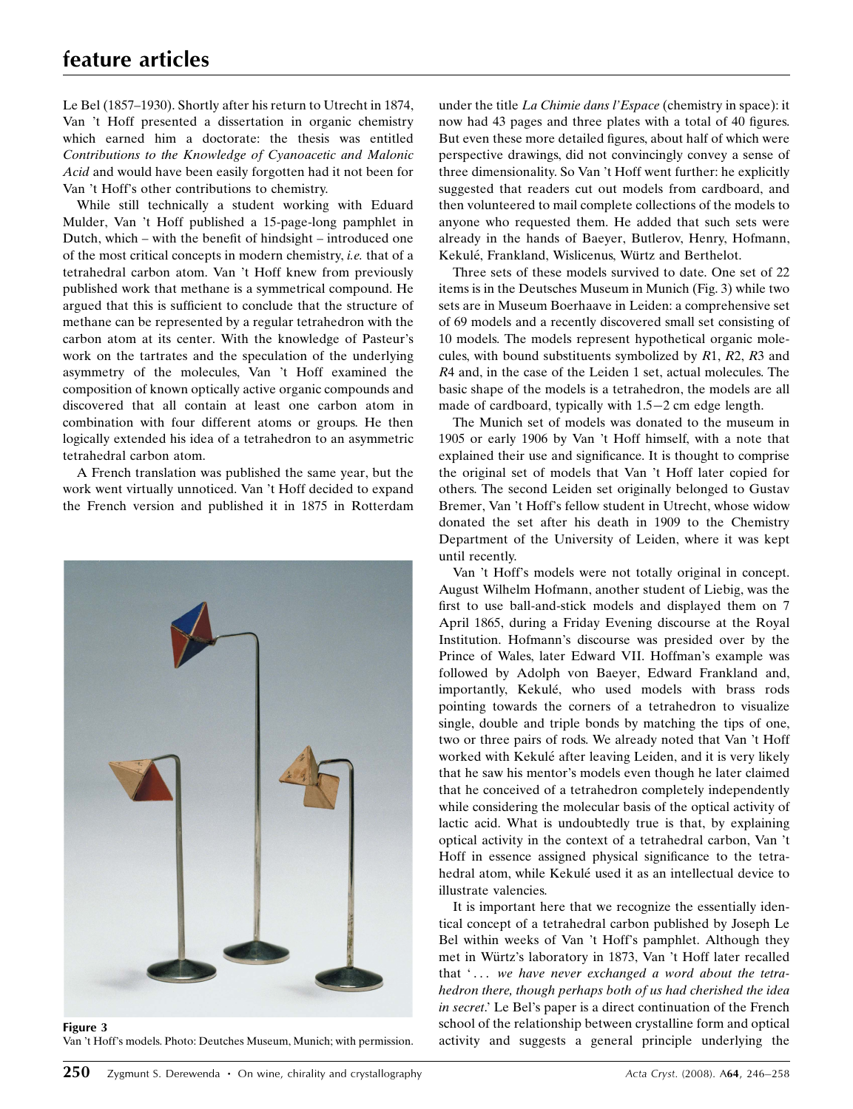Le Bel (1857–1930). Shortly after his return to Utrecht in 1874, Van 't Hoff presented a dissertation in organic chemistry which earned him a doctorate: the thesis was entitled Contributions to the Knowledge of Cyanoacetic and Malonic Acid and would have been easily forgotten had it not been for Van 't Hoff's other contributions to chemistry.

While still technically a student working with Eduard Mulder, Van 't Hoff published a 15-page-long pamphlet in Dutch, which – with the benefit of hindsight – introduced one of the most critical concepts in modern chemistry, i.e. that of a tetrahedral carbon atom. Van 't Hoff knew from previously published work that methane is a symmetrical compound. He argued that this is sufficient to conclude that the structure of methane can be represented by a regular tetrahedron with the carbon atom at its center. With the knowledge of Pasteur's work on the tartrates and the speculation of the underlying asymmetry of the molecules, Van 't Hoff examined the composition of known optically active organic compounds and discovered that all contain at least one carbon atom in combination with four different atoms or groups. He then logically extended his idea of a tetrahedron to an asymmetric tetrahedral carbon atom.

A French translation was published the same year, but the work went virtually unnoticed. Van 't Hoff decided to expand the French version and published it in 1875 in Rotterdam



Figure 3 Van 't Hoff's models. Photo: Deutches Museum, Munich; with permission.

under the title La Chimie dans l'Espace (chemistry in space): it now had 43 pages and three plates with a total of 40 figures. But even these more detailed figures, about half of which were perspective drawings, did not convincingly convey a sense of three dimensionality. So Van 't Hoff went further: he explicitly suggested that readers cut out models from cardboard, and then volunteered to mail complete collections of the models to anyone who requested them. He added that such sets were already in the hands of Baeyer, Butlerov, Henry, Hofmann, Kekulé, Frankland, Wislicenus, Würtz and Berthelot.

Three sets of these models survived to date. One set of 22 items is in the Deutsches Museum in Munich (Fig. 3) while two sets are in Museum Boerhaave in Leiden: a comprehensive set of 69 models and a recently discovered small set consisting of 10 models. The models represent hypothetical organic molecules, with bound substituents symbolized by R1, R2, R3 and R4 and, in the case of the Leiden 1 set, actual molecules. The basic shape of the models is a tetrahedron, the models are all made of cardboard, typically with  $1.5-2$  cm edge length.

The Munich set of models was donated to the museum in 1905 or early 1906 by Van 't Hoff himself, with a note that explained their use and significance. It is thought to comprise the original set of models that Van 't Hoff later copied for others. The second Leiden set originally belonged to Gustav Bremer, Van 't Hoff's fellow student in Utrecht, whose widow donated the set after his death in 1909 to the Chemistry Department of the University of Leiden, where it was kept until recently.

Van 't Hoff's models were not totally original in concept. August Wilhelm Hofmann, another student of Liebig, was the first to use ball-and-stick models and displayed them on 7 April 1865, during a Friday Evening discourse at the Royal Institution. Hofmann's discourse was presided over by the Prince of Wales, later Edward VII. Hoffman's example was followed by Adolph von Baeyer, Edward Frankland and, importantly, Kekulé, who used models with brass rods pointing towards the corners of a tetrahedron to visualize single, double and triple bonds by matching the tips of one, two or three pairs of rods. We already noted that Van 't Hoff worked with Kekulé after leaving Leiden, and it is very likely that he saw his mentor's models even though he later claimed that he conceived of a tetrahedron completely independently while considering the molecular basis of the optical activity of lactic acid. What is undoubtedly true is that, by explaining optical activity in the context of a tetrahedral carbon, Van 't Hoff in essence assigned physical significance to the tetrahedral atom, while Kekulé used it as an intellectual device to illustrate valencies.

It is important here that we recognize the essentially identical concept of a tetrahedral carbon published by Joseph Le Bel within weeks of Van 't Hoff's pamphlet. Although they met in Würtz's laboratory in 1873, Van 't Hoff later recalled that '... we have never exchanged a word about the tetrahedron there, though perhaps both of us had cherished the idea in secret.' Le Bel's paper is a direct continuation of the French school of the relationship between crystalline form and optical activity and suggests a general principle underlying the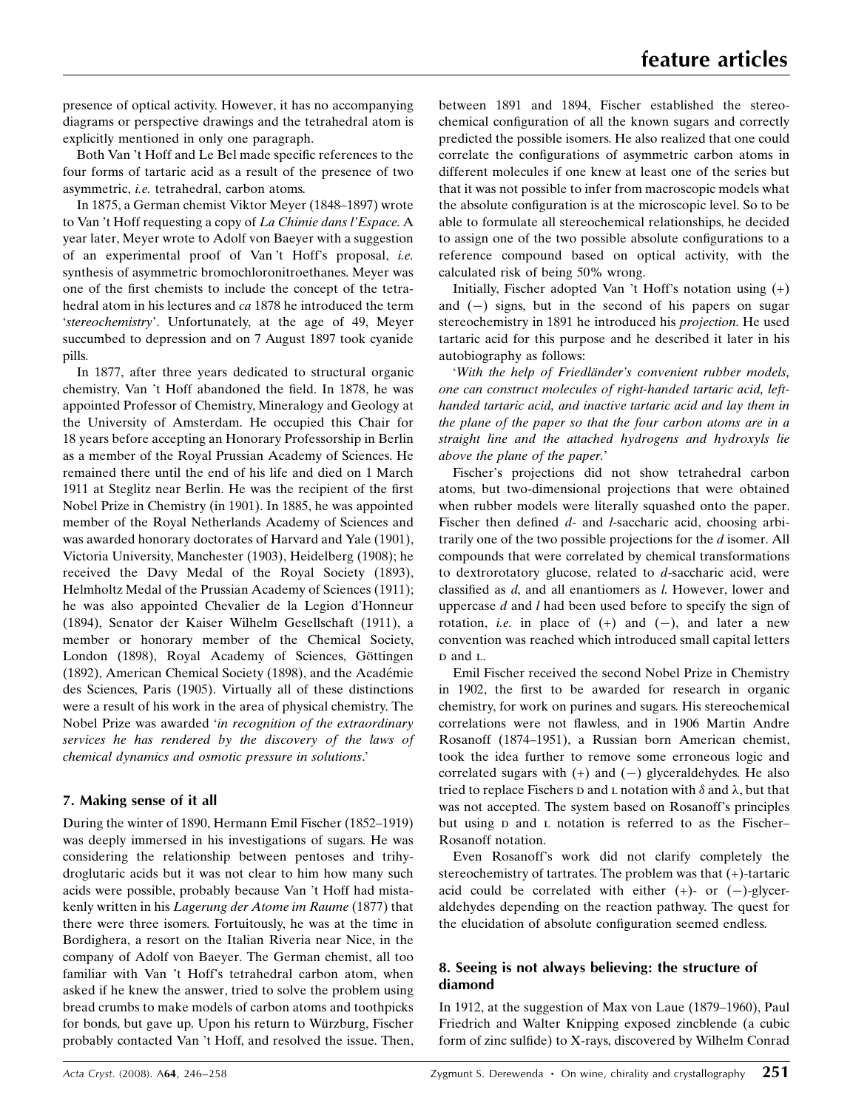presence of optical activity. However, it has no accompanying diagrams or perspective drawings and the tetrahedral atom is explicitly mentioned in only one paragraph.

Both Van 't Hoff and Le Bel made specific references to the four forms of tartaric acid as a result of the presence of two asymmetric, i.e. tetrahedral, carbon atoms.

In 1875, a German chemist Viktor Meyer (1848–1897) wrote to Van 't Hoff requesting a copy of La Chimie dans l'Espace. A year later, Meyer wrote to Adolf von Baeyer with a suggestion of an experimental proof of Van 't Hoff's proposal, i.e. synthesis of asymmetric bromochloronitroethanes. Meyer was one of the first chemists to include the concept of the tetrahedral atom in his lectures and *ca* 1878 he introduced the term 'stereochemistry'. Unfortunately, at the age of 49, Meyer succumbed to depression and on 7 August 1897 took cyanide pills.

In 1877, after three years dedicated to structural organic chemistry, Van 't Hoff abandoned the field. In 1878, he was appointed Professor of Chemistry, Mineralogy and Geology at the University of Amsterdam. He occupied this Chair for 18 years before accepting an Honorary Professorship in Berlin as a member of the Royal Prussian Academy of Sciences. He remained there until the end of his life and died on 1 March 1911 at Steglitz near Berlin. He was the recipient of the first Nobel Prize in Chemistry (in 1901). In 1885, he was appointed member of the Royal Netherlands Academy of Sciences and was awarded honorary doctorates of Harvard and Yale (1901), Victoria University, Manchester (1903), Heidelberg (1908); he received the Davy Medal of the Royal Society (1893), Helmholtz Medal of the Prussian Academy of Sciences (1911); he was also appointed Chevalier de la Legion d'Honneur (1894), Senator der Kaiser Wilhelm Gesellschaft (1911), a member or honorary member of the Chemical Society, London (1898), Royal Academy of Sciences, Göttingen (1892), American Chemical Society (1898), and the Académie des Sciences, Paris (1905). Virtually all of these distinctions were a result of his work in the area of physical chemistry. The Nobel Prize was awarded 'in recognition of the extraordinary services he has rendered by the discovery of the laws of chemical dynamics and osmotic pressure in solutions.'

# 7. Making sense of it all

During the winter of 1890, Hermann Emil Fischer (1852–1919) was deeply immersed in his investigations of sugars. He was considering the relationship between pentoses and trihydroglutaric acids but it was not clear to him how many such acids were possible, probably because Van 't Hoff had mistakenly written in his Lagerung der Atome im Raume (1877) that there were three isomers. Fortuitously, he was at the time in Bordighera, a resort on the Italian Riveria near Nice, in the company of Adolf von Baeyer. The German chemist, all too familiar with Van 't Hoff's tetrahedral carbon atom, when asked if he knew the answer, tried to solve the problem using bread crumbs to make models of carbon atoms and toothpicks for bonds, but gave up. Upon his return to Wu¨rzburg, Fischer probably contacted Van 't Hoff, and resolved the issue. Then,

between 1891 and 1894, Fischer established the stereochemical configuration of all the known sugars and correctly predicted the possible isomers. He also realized that one could correlate the configurations of asymmetric carbon atoms in different molecules if one knew at least one of the series but that it was not possible to infer from macroscopic models what the absolute configuration is at the microscopic level. So to be able to formulate all stereochemical relationships, he decided to assign one of the two possible absolute configurations to a reference compound based on optical activity, with the calculated risk of being 50% wrong.

Initially, Fischer adopted Van 't Hoff's notation using (+) and  $(-)$  signs, but in the second of his papers on sugar stereochemistry in 1891 he introduced his projection. He used tartaric acid for this purpose and he described it later in his autobiography as follows:

'With the help of Friedländer's convenient rubber models, one can construct molecules of right-handed tartaric acid, lefthanded tartaric acid, and inactive tartaric acid and lay them in the plane of the paper so that the four carbon atoms are in a straight line and the attached hydrogens and hydroxyls lie above the plane of the paper.'

Fischer's projections did not show tetrahedral carbon atoms, but two-dimensional projections that were obtained when rubber models were literally squashed onto the paper. Fischer then defined d- and l-saccharic acid, choosing arbitrarily one of the two possible projections for the d isomer. All compounds that were correlated by chemical transformations to dextrorotatory glucose, related to  $d$ -saccharic acid, were classified as d, and all enantiomers as l. However, lower and uppercase  $d$  and  $l$  had been used before to specify the sign of rotation, *i.e.* in place of  $(+)$  and  $(-)$ , and later a new convention was reached which introduced small capital letters D and L.

Emil Fischer received the second Nobel Prize in Chemistry in 1902, the first to be awarded for research in organic chemistry, for work on purines and sugars. His stereochemical correlations were not flawless, and in 1906 Martin Andre Rosanoff (1874–1951), a Russian born American chemist, took the idea further to remove some erroneous logic and correlated sugars with  $(+)$  and  $(-)$  glyceraldehydes. He also tried to replace Fischers  $D$  and  $L$  notation with  $\delta$  and  $\lambda$ , but that was not accepted. The system based on Rosanoff's principles but using  $D$  and  $L$  notation is referred to as the Fischer– Rosanoff notation.

Even Rosanoff's work did not clarify completely the stereochemistry of tartrates. The problem was that (+)-tartaric acid could be correlated with either  $(+)$ - or  $(-)$ -glyceraldehydes depending on the reaction pathway. The quest for the elucidation of absolute configuration seemed endless.

# 8. Seeing is not always believing: the structure of diamond

In 1912, at the suggestion of Max von Laue (1879–1960), Paul Friedrich and Walter Knipping exposed zincblende (a cubic form of zinc sulfide) to X-rays, discovered by Wilhelm Conrad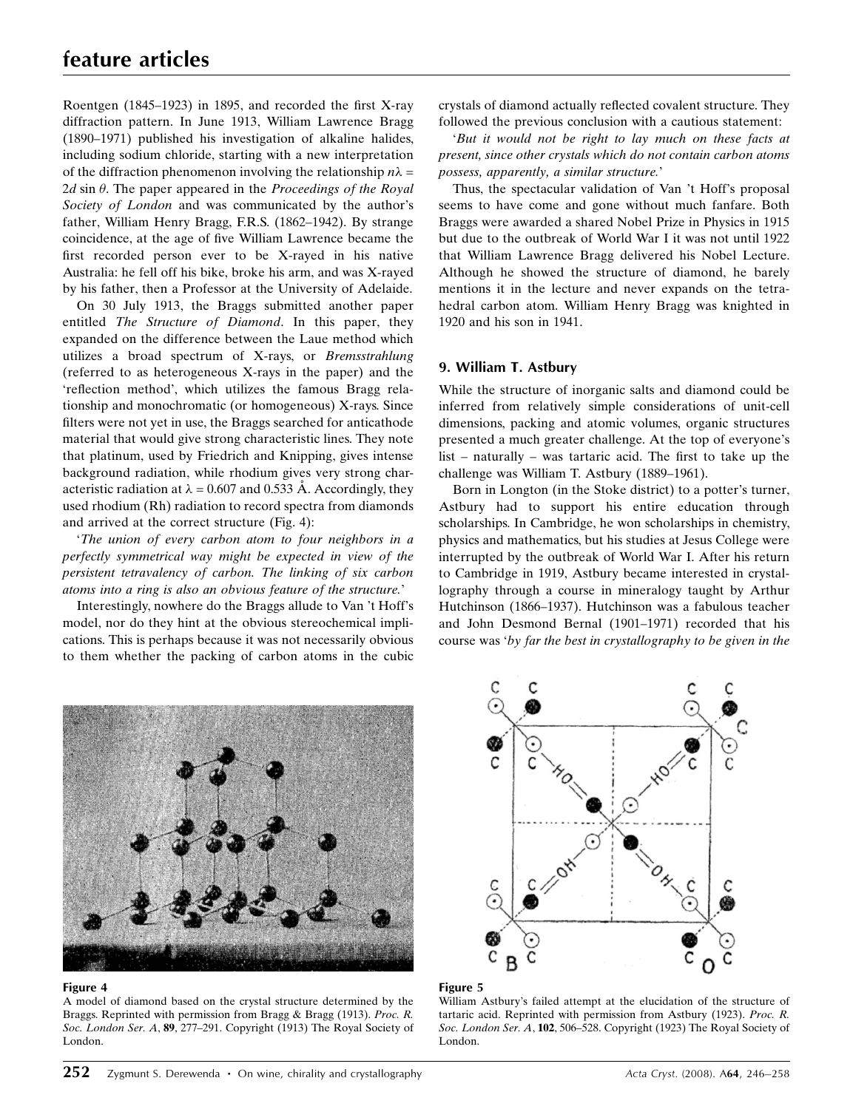Roentgen (1845–1923) in 1895, and recorded the first X-ray diffraction pattern. In June 1913, William Lawrence Bragg (1890–1971) published his investigation of alkaline halides, including sodium chloride, starting with a new interpretation of the diffraction phenomenon involving the relationship  $n\lambda =$ 2d sin  $\theta$ . The paper appeared in the *Proceedings of the Royal* Society of London and was communicated by the author's father, William Henry Bragg, F.R.S. (1862–1942). By strange coincidence, at the age of five William Lawrence became the first recorded person ever to be X-rayed in his native Australia: he fell off his bike, broke his arm, and was X-rayed by his father, then a Professor at the University of Adelaide.

On 30 July 1913, the Braggs submitted another paper entitled The Structure of Diamond. In this paper, they expanded on the difference between the Laue method which utilizes a broad spectrum of X-rays, or Bremsstrahlung (referred to as heterogeneous X-rays in the paper) and the 'reflection method', which utilizes the famous Bragg relationship and monochromatic (or homogeneous) X-rays. Since filters were not yet in use, the Braggs searched for anticathode material that would give strong characteristic lines. They note that platinum, used by Friedrich and Knipping, gives intense background radiation, while rhodium gives very strong characteristic radiation at  $\lambda = 0.607$  and 0.533 Å. Accordingly, they used rhodium (Rh) radiation to record spectra from diamonds and arrived at the correct structure (Fig. 4):

'The union of every carbon atom to four neighbors in a perfectly symmetrical way might be expected in view of the persistent tetravalency of carbon. The linking of six carbon atoms into a ring is also an obvious feature of the structure.'

Interestingly, nowhere do the Braggs allude to Van 't Hoff's model, nor do they hint at the obvious stereochemical implications. This is perhaps because it was not necessarily obvious to them whether the packing of carbon atoms in the cubic crystals of diamond actually reflected covalent structure. They followed the previous conclusion with a cautious statement:

'But it would not be right to lay much on these facts at present, since other crystals which do not contain carbon atoms possess, apparently, a similar structure.'

Thus, the spectacular validation of Van 't Hoff's proposal seems to have come and gone without much fanfare. Both Braggs were awarded a shared Nobel Prize in Physics in 1915 but due to the outbreak of World War I it was not until 1922 that William Lawrence Bragg delivered his Nobel Lecture. Although he showed the structure of diamond, he barely mentions it in the lecture and never expands on the tetrahedral carbon atom. William Henry Bragg was knighted in 1920 and his son in 1941.

## 9. William T. Astbury

While the structure of inorganic salts and diamond could be inferred from relatively simple considerations of unit-cell dimensions, packing and atomic volumes, organic structures presented a much greater challenge. At the top of everyone's list – naturally – was tartaric acid. The first to take up the challenge was William T. Astbury (1889–1961).

Born in Longton (in the Stoke district) to a potter's turner, Astbury had to support his entire education through scholarships. In Cambridge, he won scholarships in chemistry, physics and mathematics, but his studies at Jesus College were interrupted by the outbreak of World War I. After his return to Cambridge in 1919, Astbury became interested in crystallography through a course in mineralogy taught by Arthur Hutchinson (1866–1937). Hutchinson was a fabulous teacher and John Desmond Bernal (1901–1971) recorded that his course was 'by far the best in crystallography to be given in the



#### Figure 4

A model of diamond based on the crystal structure determined by the Braggs. Reprinted with permission from Bragg & Bragg (1913). Proc. R. Soc. London Ser. A, 89, 277-291. Copyright (1913) The Royal Society of London.



## Figure 5

William Astbury's failed attempt at the elucidation of the structure of tartaric acid. Reprinted with permission from Astbury (1923). Proc. R. Soc. London Ser. A, 102, 506–528. Copyright (1923) The Royal Society of London.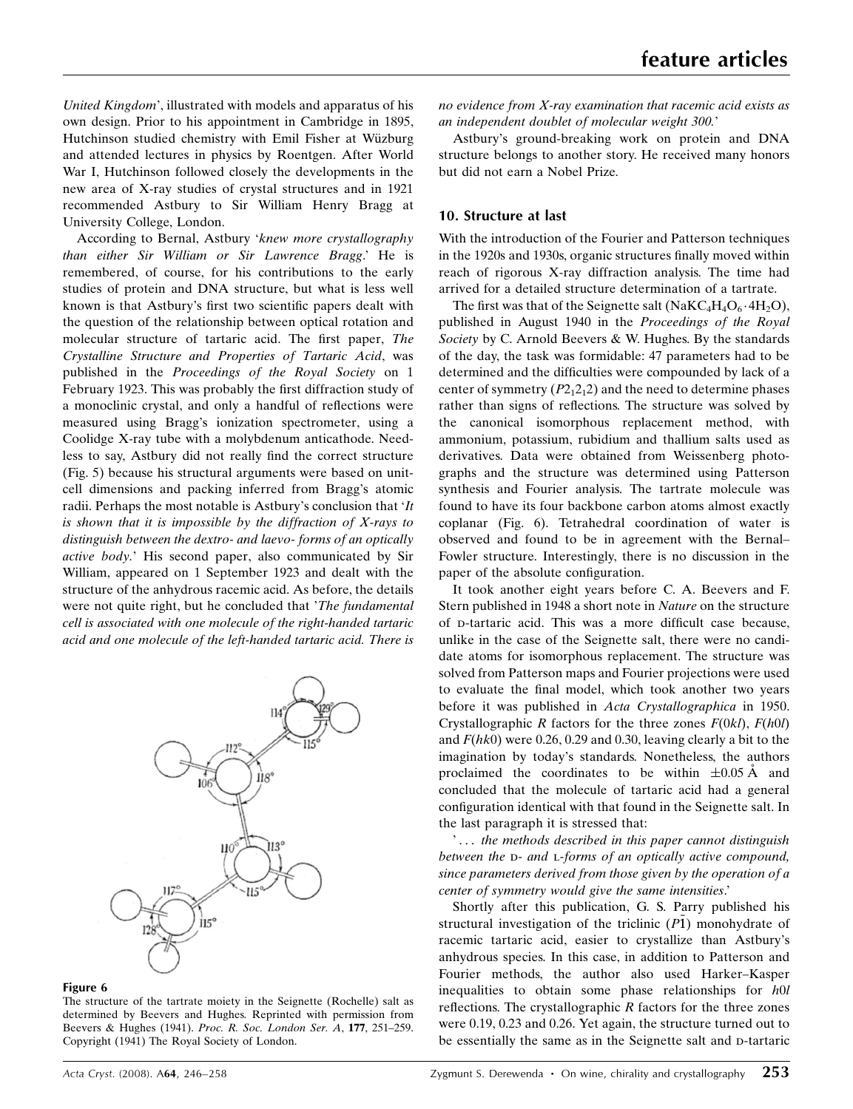United Kingdom', illustrated with models and apparatus of his own design. Prior to his appointment in Cambridge in 1895, Hutchinson studied chemistry with Emil Fisher at Wüzburg and attended lectures in physics by Roentgen. After World War I, Hutchinson followed closely the developments in the new area of X-ray studies of crystal structures and in 1921 recommended Astbury to Sir William Henry Bragg at University College, London.

According to Bernal, Astbury 'knew more crystallography than either Sir William or Sir Lawrence Bragg.' He is remembered, of course, for his contributions to the early studies of protein and DNA structure, but what is less well known is that Astbury's first two scientific papers dealt with the question of the relationship between optical rotation and molecular structure of tartaric acid. The first paper, The Crystalline Structure and Properties of Tartaric Acid, was published in the Proceedings of the Royal Society on 1 February 1923. This was probably the first diffraction study of a monoclinic crystal, and only a handful of reflections were measured using Bragg's ionization spectrometer, using a Coolidge X-ray tube with a molybdenum anticathode. Needless to say, Astbury did not really find the correct structure (Fig. 5) because his structural arguments were based on unitcell dimensions and packing inferred from Bragg's atomic radii. Perhaps the most notable is Astbury's conclusion that 'It is shown that it is impossible by the diffraction of  $X$ -rays to distinguish between the dextro- and laevo- forms of an optically active body.' His second paper, also communicated by Sir William, appeared on 1 September 1923 and dealt with the structure of the anhydrous racemic acid. As before, the details were not quite right, but he concluded that 'The fundamental cell is associated with one molecule of the right-handed tartaric acid and one molecule of the left-handed tartaric acid. There is



#### Figure 6

The structure of the tartrate moiety in the Seignette (Rochelle) salt as determined by Beevers and Hughes. Reprinted with permission from Beevers & Hughes (1941). Proc. R. Soc. London Ser. A, 177, 251–259. Copyright (1941) The Royal Society of London.

no evidence from X-ray examination that racemic acid exists as an independent doublet of molecular weight 300.'

Astbury's ground-breaking work on protein and DNA structure belongs to another story. He received many honors but did not earn a Nobel Prize.

### 10. Structure at last

With the introduction of the Fourier and Patterson techniques in the 1920s and 1930s, organic structures finally moved within reach of rigorous X-ray diffraction analysis. The time had arrived for a detailed structure determination of a tartrate.

The first was that of the Seignette salt (Na ${KC_4H_4O_6 \cdot 4H_2O}$ ), published in August 1940 in the Proceedings of the Royal Society by C. Arnold Beevers & W. Hughes. By the standards of the day, the task was formidable: 47 parameters had to be determined and the difficulties were compounded by lack of a center of symmetry  $(P2<sub>1</sub>2<sub>1</sub>2)$  and the need to determine phases rather than signs of reflections. The structure was solved by the canonical isomorphous replacement method, with ammonium, potassium, rubidium and thallium salts used as derivatives. Data were obtained from Weissenberg photographs and the structure was determined using Patterson synthesis and Fourier analysis. The tartrate molecule was found to have its four backbone carbon atoms almost exactly coplanar (Fig. 6). Tetrahedral coordination of water is observed and found to be in agreement with the Bernal– Fowler structure. Interestingly, there is no discussion in the paper of the absolute configuration.

It took another eight years before C. A. Beevers and F. Stern published in 1948 a short note in Nature on the structure of p-tartaric acid. This was a more difficult case because, unlike in the case of the Seignette salt, there were no candidate atoms for isomorphous replacement. The structure was solved from Patterson maps and Fourier projections were used to evaluate the final model, which took another two years before it was published in Acta Crystallographica in 1950. Crystallographic R factors for the three zones  $F(0kl)$ ,  $F(h0l)$ and  $F(hk0)$  were 0.26, 0.29 and 0.30, leaving clearly a bit to the imagination by today's standards. Nonetheless, the authors proclaimed the coordinates to be within  $\pm 0.05 \text{ Å}$  and concluded that the molecule of tartaric acid had a general configuration identical with that found in the Seignette salt. In the last paragraph it is stressed that:

' ... the methods described in this paper cannot distinguish between the  $D-$  and  $L$ -forms of an optically active compound, since parameters derived from those given by the operation of a center of symmetry would give the same intensities.'

Shortly after this publication, G. S. Parry published his structural investigation of the triclinic (P1) monohydrate of racemic tartaric acid, easier to crystallize than Astbury's anhydrous species. In this case, in addition to Patterson and Fourier methods, the author also used Harker–Kasper inequalities to obtain some phase relationships for h0l reflections. The crystallographic  $R$  factors for the three zones were 0.19, 0.23 and 0.26. Yet again, the structure turned out to be essentially the same as in the Seignette salt and  $D$ -tartaric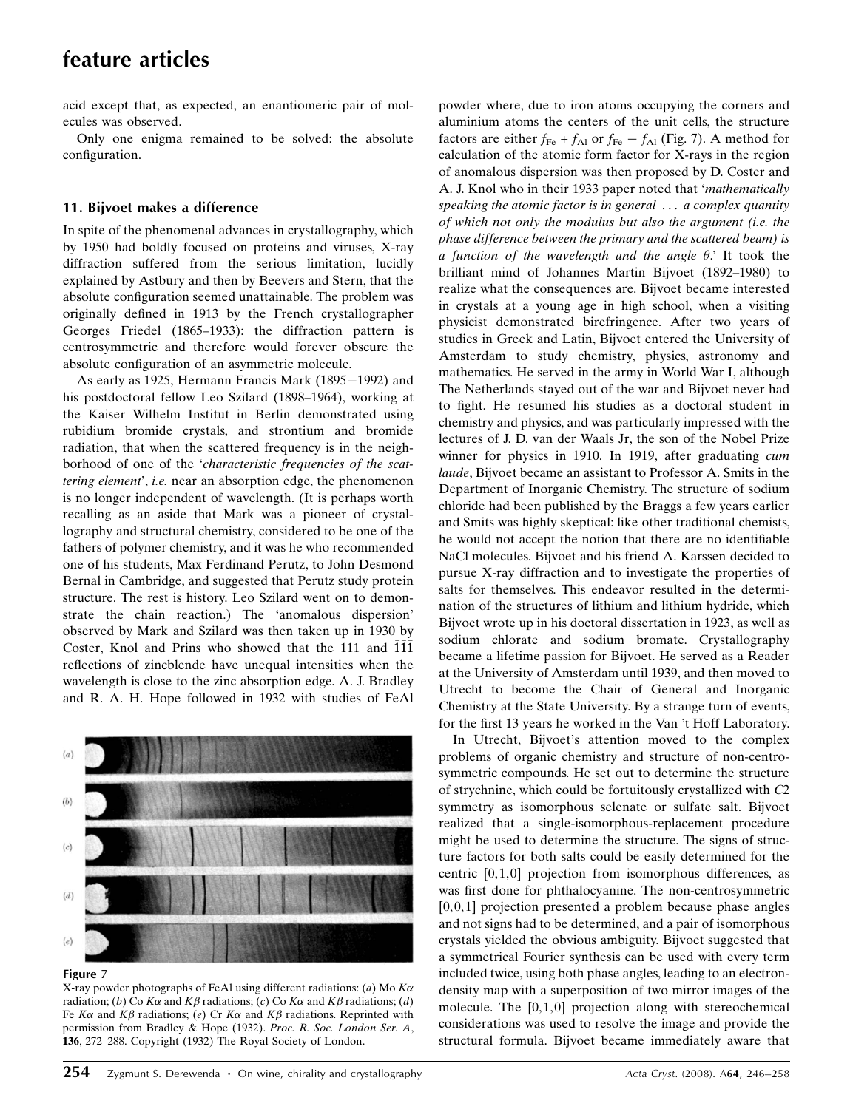acid except that, as expected, an enantiomeric pair of molecules was observed.

Only one enigma remained to be solved: the absolute configuration.

# 11. Bijvoet makes a difference

In spite of the phenomenal advances in crystallography, which by 1950 had boldly focused on proteins and viruses, X-ray diffraction suffered from the serious limitation, lucidly explained by Astbury and then by Beevers and Stern, that the absolute configuration seemed unattainable. The problem was originally defined in 1913 by the French crystallographer Georges Friedel (1865–1933): the diffraction pattern is centrosymmetric and therefore would forever obscure the absolute configuration of an asymmetric molecule.

As early as 1925, Hermann Francis Mark  $(1895-1992)$  and his postdoctoral fellow Leo Szilard (1898–1964), working at the Kaiser Wilhelm Institut in Berlin demonstrated using rubidium bromide crystals, and strontium and bromide radiation, that when the scattered frequency is in the neighborhood of one of the 'characteristic frequencies of the scattering element', i.e. near an absorption edge, the phenomenon is no longer independent of wavelength. (It is perhaps worth recalling as an aside that Mark was a pioneer of crystallography and structural chemistry, considered to be one of the fathers of polymer chemistry, and it was he who recommended one of his students, Max Ferdinand Perutz, to John Desmond Bernal in Cambridge, and suggested that Perutz study protein structure. The rest is history. Leo Szilard went on to demonstrate the chain reaction.) The 'anomalous dispersion' observed by Mark and Szilard was then taken up in 1930 by Coster, Knol and Prins who showed that the 111 and 111 reflections of zincblende have unequal intensities when the wavelength is close to the zinc absorption edge. A. J. Bradley and R. A. H. Hope followed in 1932 with studies of FeAl



Figure 7

X-ray powder photographs of FeAl using different radiations: (a) Mo  $K\alpha$ radiation; (b) Co K $\alpha$  and K $\beta$  radiations; (c) Co K $\alpha$  and K $\beta$  radiations; (d) Fe  $K\alpha$  and  $K\beta$  radiations; (e) Cr  $K\alpha$  and  $K\beta$  radiations. Reprinted with permission from Bradley & Hope (1932). Proc. R. Soc. London Ser. A, 136, 272–288. Copyright (1932) The Royal Society of London.

powder where, due to iron atoms occupying the corners and aluminium atoms the centers of the unit cells, the structure factors are either  $f_{\text{Fe}} + f_{\text{Al}}$  or  $f_{\text{Fe}} - f_{\text{Al}}$  (Fig. 7). A method for calculation of the atomic form factor for X-rays in the region of anomalous dispersion was then proposed by D. Coster and A. J. Knol who in their 1933 paper noted that 'mathematically speaking the atomic factor is in general ... a complex quantity of which not only the modulus but also the argument (i.e. the phase difference between the primary and the scattered beam) is a function of the wavelength and the angle  $\theta$ . It took the brilliant mind of Johannes Martin Bijvoet (1892–1980) to realize what the consequences are. Bijvoet became interested in crystals at a young age in high school, when a visiting physicist demonstrated birefringence. After two years of studies in Greek and Latin, Bijvoet entered the University of Amsterdam to study chemistry, physics, astronomy and mathematics. He served in the army in World War I, although The Netherlands stayed out of the war and Bijvoet never had to fight. He resumed his studies as a doctoral student in chemistry and physics, and was particularly impressed with the lectures of J. D. van der Waals Jr, the son of the Nobel Prize winner for physics in 1910. In 1919, after graduating cum laude, Bijvoet became an assistant to Professor A. Smits in the Department of Inorganic Chemistry. The structure of sodium chloride had been published by the Braggs a few years earlier and Smits was highly skeptical: like other traditional chemists, he would not accept the notion that there are no identifiable NaCl molecules. Bijvoet and his friend A. Karssen decided to pursue X-ray diffraction and to investigate the properties of salts for themselves. This endeavor resulted in the determination of the structures of lithium and lithium hydride, which Bijvoet wrote up in his doctoral dissertation in 1923, as well as sodium chlorate and sodium bromate. Crystallography became a lifetime passion for Bijvoet. He served as a Reader at the University of Amsterdam until 1939, and then moved to Utrecht to become the Chair of General and Inorganic Chemistry at the State University. By a strange turn of events, for the first 13 years he worked in the Van 't Hoff Laboratory.

In Utrecht, Bijvoet's attention moved to the complex problems of organic chemistry and structure of non-centrosymmetric compounds. He set out to determine the structure of strychnine, which could be fortuitously crystallized with C2 symmetry as isomorphous selenate or sulfate salt. Bijvoet realized that a single-isomorphous-replacement procedure might be used to determine the structure. The signs of structure factors for both salts could be easily determined for the centric [0,1,0] projection from isomorphous differences, as was first done for phthalocyanine. The non-centrosymmetric [0,0,1] projection presented a problem because phase angles and not signs had to be determined, and a pair of isomorphous crystals yielded the obvious ambiguity. Bijvoet suggested that a symmetrical Fourier synthesis can be used with every term included twice, using both phase angles, leading to an electrondensity map with a superposition of two mirror images of the molecule. The [0,1,0] projection along with stereochemical considerations was used to resolve the image and provide the structural formula. Bijvoet became immediately aware that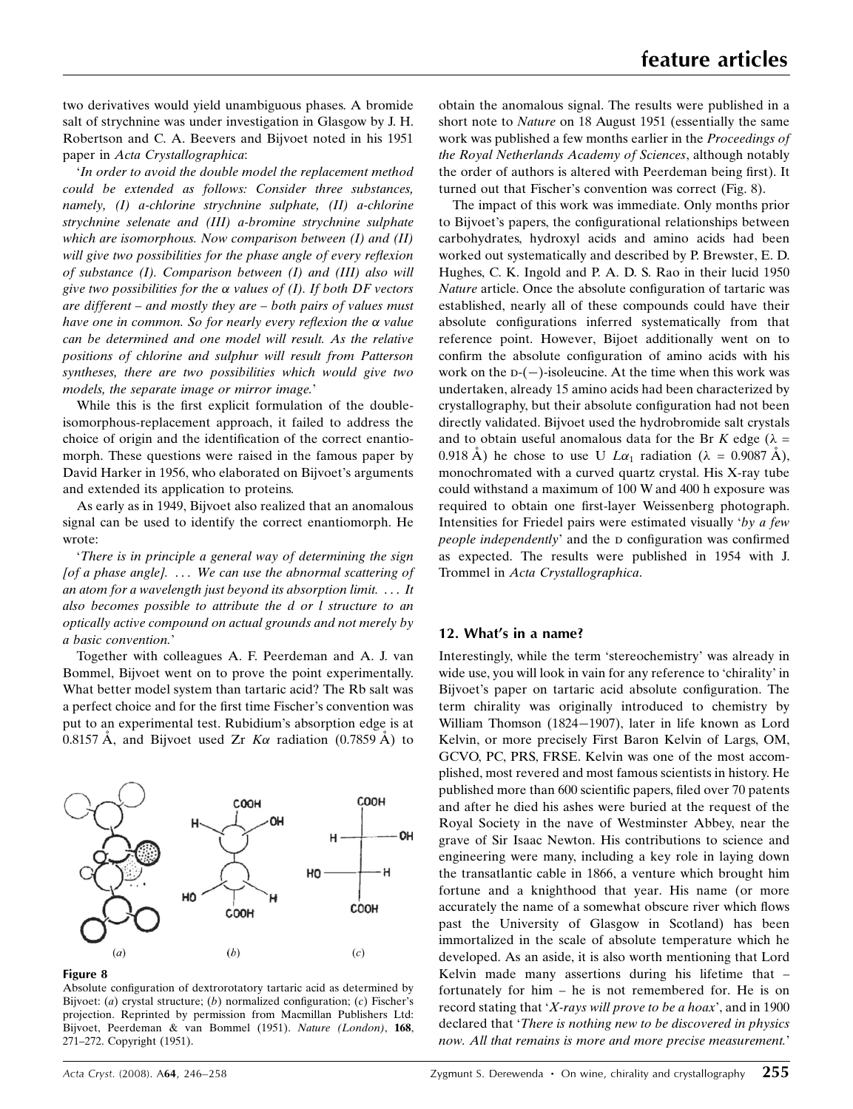two derivatives would yield unambiguous phases. A bromide salt of strychnine was under investigation in Glasgow by J. H. Robertson and C. A. Beevers and Bijvoet noted in his 1951 paper in Acta Crystallographica:

'In order to avoid the double model the replacement method could be extended as follows: Consider three substances, namely, (I) a-chlorine strychnine sulphate, (II) a-chlorine strychnine selenate and (III) a-bromine strychnine sulphate which are isomorphous. Now comparison between (I) and (II) will give two possibilities for the phase angle of every reflexion of substance (I). Comparison between (I) and (III) also will give two possibilities for the  $\alpha$  values of (I). If both DF vectors are different – and mostly they are – both pairs of values must have one in common. So for nearly every reflexion the  $\alpha$  value can be determined and one model will result. As the relative positions of chlorine and sulphur will result from Patterson syntheses, there are two possibilities which would give two models, the separate image or mirror image.'

While this is the first explicit formulation of the doubleisomorphous-replacement approach, it failed to address the choice of origin and the identification of the correct enantiomorph. These questions were raised in the famous paper by David Harker in 1956, who elaborated on Bijvoet's arguments and extended its application to proteins.

As early as in 1949, Bijvoet also realized that an anomalous signal can be used to identify the correct enantiomorph. He wrote:

'There is in principle a general way of determining the sign [of a phase angle].  $\ldots$  We can use the abnormal scattering of an atom for a wavelength just beyond its absorption limit. ... It also becomes possible to attribute the d or l structure to an optically active compound on actual grounds and not merely by a basic convention.'

Together with colleagues A. F. Peerdeman and A. J. van Bommel, Bijvoet went on to prove the point experimentally. What better model system than tartaric acid? The Rb salt was a perfect choice and for the first time Fischer's convention was put to an experimental test. Rubidium's absorption edge is at 0.8157 Å, and Bijvoet used Zr  $K\alpha$  radiation (0.7859 Å) to



#### Figure 8

Absolute configuration of dextrorotatory tartaric acid as determined by Bijvoet: (*a*) crystal structure; (*b*) normalized configuration; (*c*) Fischer's projection. Reprinted by permission from Macmillan Publishers Ltd: Bijvoet, Peerdeman & van Bommel (1951). Nature (London), 168, 271–272. Copyright (1951).

obtain the anomalous signal. The results were published in a short note to Nature on 18 August 1951 (essentially the same work was published a few months earlier in the Proceedings of the Royal Netherlands Academy of Sciences, although notably the order of authors is altered with Peerdeman being first). It turned out that Fischer's convention was correct (Fig. 8).

The impact of this work was immediate. Only months prior to Bijvoet's papers, the configurational relationships between carbohydrates, hydroxyl acids and amino acids had been worked out systematically and described by P. Brewster, E. D. Hughes, C. K. Ingold and P. A. D. S. Rao in their lucid 1950 Nature article. Once the absolute configuration of tartaric was established, nearly all of these compounds could have their absolute configurations inferred systematically from that reference point. However, Bijoet additionally went on to confirm the absolute configuration of amino acids with his work on the  $p-(-)$ -isoleucine. At the time when this work was undertaken, already 15 amino acids had been characterized by crystallography, but their absolute configuration had not been directly validated. Bijvoet used the hydrobromide salt crystals and to obtain useful anomalous data for the Br K edge ( $\lambda =$ 0.918 Å) he chose to use U  $L\alpha_1$  radiation ( $\lambda = 0.9087 \text{ Å}$ ), monochromated with a curved quartz crystal. His X-ray tube could withstand a maximum of 100 W and 400 h exposure was required to obtain one first-layer Weissenberg photograph. Intensities for Friedel pairs were estimated visually 'by a few people independently' and the D configuration was confirmed as expected. The results were published in 1954 with J. Trommel in Acta Crystallographica.

### 12. What's in a name?

Interestingly, while the term 'stereochemistry' was already in wide use, you will look in vain for any reference to 'chirality' in Bijvoet's paper on tartaric acid absolute configuration. The term chirality was originally introduced to chemistry by William Thomson  $(1824-1907)$ , later in life known as Lord Kelvin, or more precisely First Baron Kelvin of Largs, OM, GCVO, PC, PRS, FRSE. Kelvin was one of the most accomplished, most revered and most famous scientists in history. He published more than 600 scientific papers, filed over 70 patents and after he died his ashes were buried at the request of the Royal Society in the nave of Westminster Abbey, near the grave of Sir Isaac Newton. His contributions to science and engineering were many, including a key role in laying down the transatlantic cable in 1866, a venture which brought him fortune and a knighthood that year. His name (or more accurately the name of a somewhat obscure river which flows past the University of Glasgow in Scotland) has been immortalized in the scale of absolute temperature which he developed. As an aside, it is also worth mentioning that Lord Kelvin made many assertions during his lifetime that – fortunately for him – he is not remembered for. He is on record stating that 'X-rays will prove to be a hoax', and in 1900 declared that 'There is nothing new to be discovered in physics now. All that remains is more and more precise measurement.'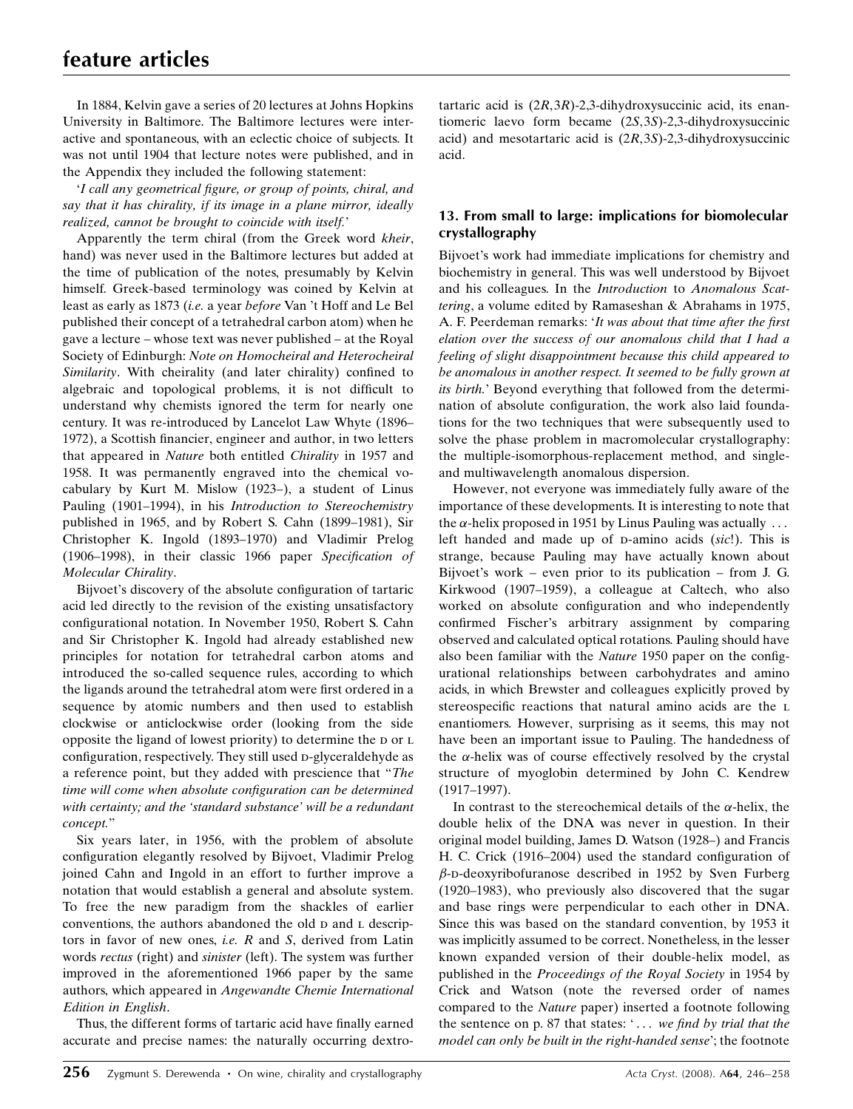In 1884, Kelvin gave a series of 20 lectures at Johns Hopkins University in Baltimore. The Baltimore lectures were interactive and spontaneous, with an eclectic choice of subjects. It was not until 1904 that lecture notes were published, and in the Appendix they included the following statement:

'I call any geometrical figure, or group of points, chiral, and say that it has chirality, if its image in a plane mirror, ideally realized, cannot be brought to coincide with itself.'

Apparently the term chiral (from the Greek word kheir, hand) was never used in the Baltimore lectures but added at the time of publication of the notes, presumably by Kelvin himself. Greek-based terminology was coined by Kelvin at least as early as 1873 (i.e. a year before Van 't Hoff and Le Bel published their concept of a tetrahedral carbon atom) when he gave a lecture – whose text was never published – at the Royal Society of Edinburgh: Note on Homocheiral and Heterocheiral Similarity. With cheirality (and later chirality) confined to algebraic and topological problems, it is not difficult to understand why chemists ignored the term for nearly one century. It was re-introduced by Lancelot Law Whyte (1896– 1972), a Scottish financier, engineer and author, in two letters that appeared in Nature both entitled Chirality in 1957 and 1958. It was permanently engraved into the chemical vocabulary by Kurt M. Mislow (1923–), a student of Linus Pauling (1901–1994), in his Introduction to Stereochemistry published in 1965, and by Robert S. Cahn (1899–1981), Sir Christopher K. Ingold (1893–1970) and Vladimir Prelog (1906–1998), in their classic 1966 paper Specification of Molecular Chirality.

Bijvoet's discovery of the absolute configuration of tartaric acid led directly to the revision of the existing unsatisfactory configurational notation. In November 1950, Robert S. Cahn and Sir Christopher K. Ingold had already established new principles for notation for tetrahedral carbon atoms and introduced the so-called sequence rules, according to which the ligands around the tetrahedral atom were first ordered in a sequence by atomic numbers and then used to establish clockwise or anticlockwise order (looking from the side opposite the ligand of lowest priority) to determine the  $D$  or  $L$ configuration, respectively. They still used  $\mathbf{D}\text{-}glyceraldehyde$  as a reference point, but they added with prescience that "The time will come when absolute configuration can be determined with certainty; and the 'standard substance' will be a redundant concept."

Six years later, in 1956, with the problem of absolute configuration elegantly resolved by Bijvoet, Vladimir Prelog joined Cahn and Ingold in an effort to further improve a notation that would establish a general and absolute system. To free the new paradigm from the shackles of earlier conventions, the authors abandoned the old  $\bar{D}$  and  $\bar{L}$  descriptors in favor of new ones, *i.e.*  $R$  and  $S$ , derived from Latin words rectus (right) and sinister (left). The system was further improved in the aforementioned 1966 paper by the same authors, which appeared in Angewandte Chemie International Edition in English.

Thus, the different forms of tartaric acid have finally earned accurate and precise names: the naturally occurring dextrotartaric acid is  $(2R,3R)$ -2,3-dihydroxysuccinic acid, its enantiomeric laevo form became (2S,3S)-2,3-dihydroxysuccinic acid) and mesotartaric acid is (2R,3S)-2,3-dihydroxysuccinic acid.

# 13. From small to large: implications for biomolecular crystallography

Bijvoet's work had immediate implications for chemistry and biochemistry in general. This was well understood by Bijvoet and his colleagues. In the Introduction to Anomalous Scattering, a volume edited by Ramaseshan & Abrahams in 1975, A. F. Peerdeman remarks: 'It was about that time after the first elation over the success of our anomalous child that I had a feeling of slight disappointment because this child appeared to be anomalous in another respect. It seemed to be fully grown at its birth.' Beyond everything that followed from the determination of absolute configuration, the work also laid foundations for the two techniques that were subsequently used to solve the phase problem in macromolecular crystallography: the multiple-isomorphous-replacement method, and singleand multiwavelength anomalous dispersion.

However, not everyone was immediately fully aware of the importance of these developments. It is interesting to note that the  $\alpha$ -helix proposed in 1951 by Linus Pauling was actually ... left handed and made up of  $D$ -amino acids (sic!). This is strange, because Pauling may have actually known about Bijvoet's work – even prior to its publication – from J. G. Kirkwood (1907–1959), a colleague at Caltech, who also worked on absolute configuration and who independently confirmed Fischer's arbitrary assignment by comparing observed and calculated optical rotations. Pauling should have also been familiar with the Nature 1950 paper on the configurational relationships between carbohydrates and amino acids, in which Brewster and colleagues explicitly proved by stereospecific reactions that natural amino acids are the L enantiomers. However, surprising as it seems, this may not have been an important issue to Pauling. The handedness of the  $\alpha$ -helix was of course effectively resolved by the crystal structure of myoglobin determined by John C. Kendrew (1917–1997).

In contrast to the stereochemical details of the  $\alpha$ -helix, the double helix of the DNA was never in question. In their original model building, James D. Watson (1928–) and Francis H. C. Crick (1916–2004) used the standard configuration of  $\beta$ -D-deoxyribofuranose described in 1952 by Sven Furberg (1920–1983), who previously also discovered that the sugar and base rings were perpendicular to each other in DNA. Since this was based on the standard convention, by 1953 it was implicitly assumed to be correct. Nonetheless, in the lesser known expanded version of their double-helix model, as published in the Proceedings of the Royal Society in 1954 by Crick and Watson (note the reversed order of names compared to the Nature paper) inserted a footnote following the sentence on p. 87 that states: ' ... we find by trial that the model can only be built in the right-handed sense'; the footnote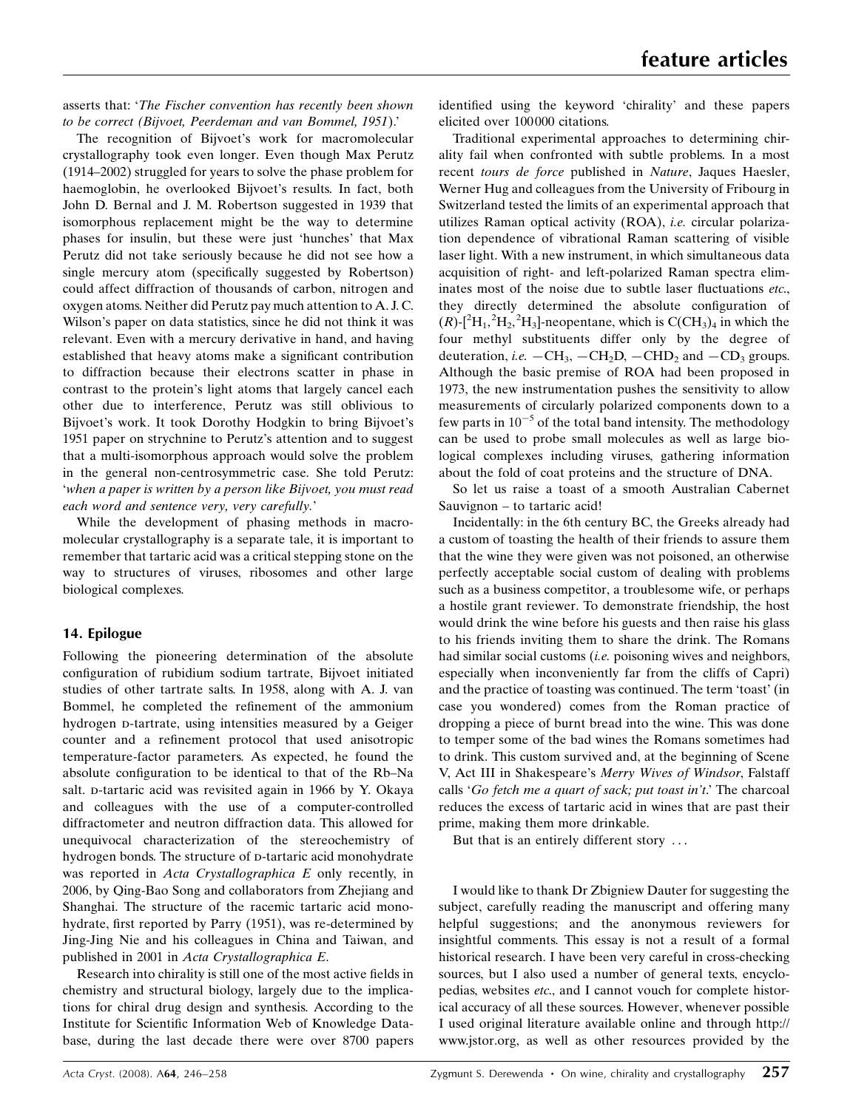asserts that: 'The Fischer convention has recently been shown to be correct (Bijvoet, Peerdeman and van Bommel, 1951).'

The recognition of Bijvoet's work for macromolecular crystallography took even longer. Even though Max Perutz (1914–2002) struggled for years to solve the phase problem for haemoglobin, he overlooked Bijvoet's results. In fact, both John D. Bernal and J. M. Robertson suggested in 1939 that isomorphous replacement might be the way to determine phases for insulin, but these were just 'hunches' that Max Perutz did not take seriously because he did not see how a single mercury atom (specifically suggested by Robertson) could affect diffraction of thousands of carbon, nitrogen and oxygen atoms. Neither did Perutz pay much attention to A. J. C. Wilson's paper on data statistics, since he did not think it was relevant. Even with a mercury derivative in hand, and having established that heavy atoms make a significant contribution to diffraction because their electrons scatter in phase in contrast to the protein's light atoms that largely cancel each other due to interference, Perutz was still oblivious to Bijvoet's work. It took Dorothy Hodgkin to bring Bijvoet's 1951 paper on strychnine to Perutz's attention and to suggest that a multi-isomorphous approach would solve the problem in the general non-centrosymmetric case. She told Perutz: 'when a paper is written by a person like Bijvoet, you must read each word and sentence very, very carefully.'

While the development of phasing methods in macromolecular crystallography is a separate tale, it is important to remember that tartaric acid was a critical stepping stone on the way to structures of viruses, ribosomes and other large biological complexes.

# 14. Epilogue

Following the pioneering determination of the absolute configuration of rubidium sodium tartrate, Bijvoet initiated studies of other tartrate salts. In 1958, along with A. J. van Bommel, he completed the refinement of the ammonium hydrogen p-tartrate, using intensities measured by a Geiger counter and a refinement protocol that used anisotropic temperature-factor parameters. As expected, he found the absolute configuration to be identical to that of the Rb–Na salt. D-tartaric acid was revisited again in 1966 by Y. Okaya and colleagues with the use of a computer-controlled diffractometer and neutron diffraction data. This allowed for unequivocal characterization of the stereochemistry of hydrogen bonds. The structure of p-tartaric acid monohydrate was reported in Acta Crystallographica E only recently, in 2006, by Qing-Bao Song and collaborators from Zhejiang and Shanghai. The structure of the racemic tartaric acid monohydrate, first reported by Parry (1951), was re-determined by Jing-Jing Nie and his colleagues in China and Taiwan, and published in 2001 in Acta Crystallographica E.

Research into chirality is still one of the most active fields in chemistry and structural biology, largely due to the implications for chiral drug design and synthesis. According to the Institute for Scientific Information Web of Knowledge Database, during the last decade there were over 8700 papers identified using the keyword 'chirality' and these papers elicited over 100000 citations.

Traditional experimental approaches to determining chirality fail when confronted with subtle problems. In a most recent tours de force published in Nature, Jaques Haesler, Werner Hug and colleagues from the University of Fribourg in Switzerland tested the limits of an experimental approach that utilizes Raman optical activity (ROA), i.e. circular polarization dependence of vibrational Raman scattering of visible laser light. With a new instrument, in which simultaneous data acquisition of right- and left-polarized Raman spectra eliminates most of the noise due to subtle laser fluctuations etc., they directly determined the absolute configuration of  $(R)$ -[<sup>2</sup>H<sub>1</sub>,<sup>2</sup>H<sub>2</sub>,<sup>2</sup>H<sub>3</sub>]-neopentane, which is C(CH<sub>3</sub>)<sub>4</sub> in which the four methyl substituents differ only by the degree of deuteration, *i.e.*  $-CH_3$ ,  $-CH_2D$ ,  $-CHD_2$  and  $-CD_3$  groups. Although the basic premise of ROA had been proposed in 1973, the new instrumentation pushes the sensitivity to allow measurements of circularly polarized components down to a few parts in  $10^{-5}$  of the total band intensity. The methodology can be used to probe small molecules as well as large biological complexes including viruses, gathering information about the fold of coat proteins and the structure of DNA.

So let us raise a toast of a smooth Australian Cabernet Sauvignon – to tartaric acid!

Incidentally: in the 6th century BC, the Greeks already had a custom of toasting the health of their friends to assure them that the wine they were given was not poisoned, an otherwise perfectly acceptable social custom of dealing with problems such as a business competitor, a troublesome wife, or perhaps a hostile grant reviewer. To demonstrate friendship, the host would drink the wine before his guests and then raise his glass to his friends inviting them to share the drink. The Romans had similar social customs (i.e. poisoning wives and neighbors, especially when inconveniently far from the cliffs of Capri) and the practice of toasting was continued. The term 'toast' (in case you wondered) comes from the Roman practice of dropping a piece of burnt bread into the wine. This was done to temper some of the bad wines the Romans sometimes had to drink. This custom survived and, at the beginning of Scene V, Act III in Shakespeare's Merry Wives of Windsor, Falstaff calls 'Go fetch me a quart of sack; put toast in't.' The charcoal reduces the excess of tartaric acid in wines that are past their prime, making them more drinkable.

But that is an entirely different story ...

I would like to thank Dr Zbigniew Dauter for suggesting the subject, carefully reading the manuscript and offering many helpful suggestions; and the anonymous reviewers for insightful comments. This essay is not a result of a formal historical research. I have been very careful in cross-checking sources, but I also used a number of general texts, encyclopedias, websites etc., and I cannot vouch for complete historical accuracy of all these sources. However, whenever possible I used original literature available online and through http:// www.jstor.org, as well as other resources provided by the